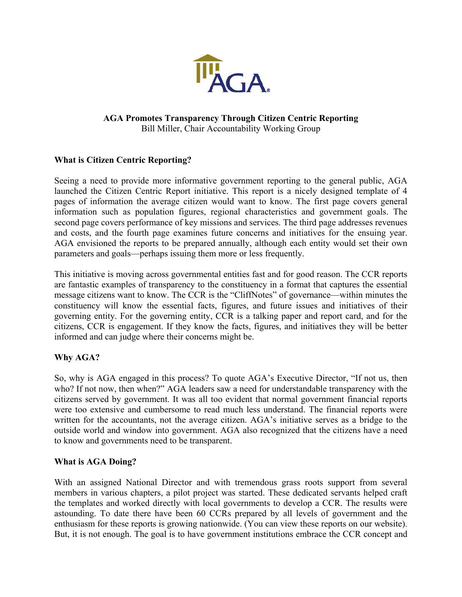

## **AGA Promotes Transparency Through Citizen Centric Reporting**  Bill Miller, Chair Accountability Working Group

# **What is Citizen Centric Reporting?**

Seeing a need to provide more informative government reporting to the general public, AGA launched the Citizen Centric Report initiative. This report is a nicely designed template of 4 pages of information the average citizen would want to know. The first page covers general information such as population figures, regional characteristics and government goals. The second page covers performance of key missions and services. The third page addresses revenues and costs, and the fourth page examines future concerns and initiatives for the ensuing year. AGA envisioned the reports to be prepared annually, although each entity would set their own parameters and goals—perhaps issuing them more or less frequently.

This initiative is moving across governmental entities fast and for good reason. The CCR reports are fantastic examples of transparency to the constituency in a format that captures the essential message citizens want to know. The CCR is the "CliffNotes" of governance—within minutes the constituency will know the essential facts, figures, and future issues and initiatives of their governing entity. For the governing entity, CCR is a talking paper and report card, and for the citizens, CCR is engagement. If they know the facts, figures, and initiatives they will be better informed and can judge where their concerns might be.

# **Why AGA?**

So, why is AGA engaged in this process? To quote AGA's Executive Director, "If not us, then who? If not now, then when?" AGA leaders saw a need for understandable transparency with the citizens served by government. It was all too evident that normal government financial reports were too extensive and cumbersome to read much less understand. The financial reports were written for the accountants, not the average citizen. AGA's initiative serves as a bridge to the outside world and window into government. AGA also recognized that the citizens have a need to know and governments need to be transparent.

#### **What is AGA Doing?**

With an assigned National Director and with tremendous grass roots support from several members in various chapters, a pilot project was started. These dedicated servants helped craft the templates and worked directly with local governments to develop a CCR. The results were astounding. To date there have been 60 CCRs prepared by all levels of government and the enthusiasm for these reports is growing nationwide. (You can view these reports on our website). But, it is not enough. The goal is to have government institutions embrace the CCR concept and